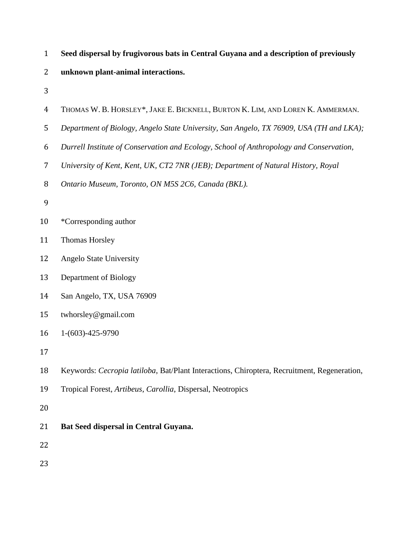| $\mathbf{1}$   | Seed dispersal by frugivorous bats in Central Guyana and a description of previously        |
|----------------|---------------------------------------------------------------------------------------------|
| $\overline{2}$ | unknown plant-animal interactions.                                                          |
| 3              |                                                                                             |
| $\overline{4}$ | THOMAS W. B. HORSLEY*, JAKE E. BICKNELL, BURTON K. LIM, AND LOREN K. AMMERMAN.              |
| 5              | Department of Biology, Angelo State University, San Angelo, TX 76909, USA (TH and LKA);     |
| 6              | Durrell Institute of Conservation and Ecology, School of Anthropology and Conservation,     |
| 7              | University of Kent, Kent, UK, CT2 7NR (JEB); Department of Natural History, Royal           |
| 8              | Ontario Museum, Toronto, ON M5S 2C6, Canada (BKL).                                          |
| 9              |                                                                                             |
| 10             | *Corresponding author                                                                       |
| 11             | Thomas Horsley                                                                              |
| 12             | <b>Angelo State University</b>                                                              |
| 13             | Department of Biology                                                                       |
| 14             | San Angelo, TX, USA 76909                                                                   |
| 15             | twhorsley@gmail.com                                                                         |
| 16             | $1-(603)-425-9790$                                                                          |
| 17             |                                                                                             |
| 18             | Keywords: Cecropia latiloba, Bat/Plant Interactions, Chiroptera, Recruitment, Regeneration, |
| 19             | Tropical Forest, Artibeus, Carollia, Dispersal, Neotropics                                  |
| 20             |                                                                                             |
| 21             | Bat Seed dispersal in Central Guyana.                                                       |
| 22             |                                                                                             |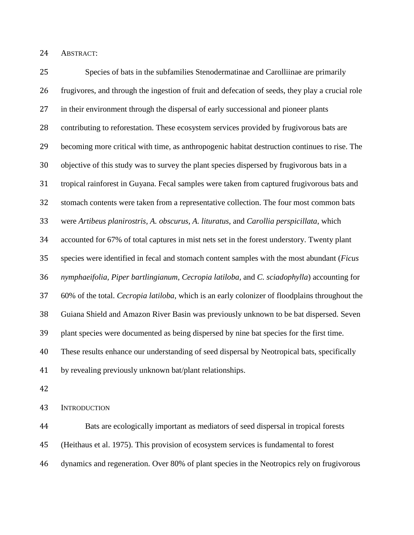ABSTRACT:

 Species of bats in the subfamilies Stenodermatinae and Carolliinae are primarily frugivores, and through the ingestion of fruit and defecation of seeds, they play a crucial role in their environment through the dispersal of early successional and pioneer plants contributing to reforestation. These ecosystem services provided by frugivorous bats are becoming more critical with time, as anthropogenic habitat destruction continues to rise. The objective of this study was to survey the plant species dispersed by frugivorous bats in a tropical rainforest in Guyana. Fecal samples were taken from captured frugivorous bats and stomach contents were taken from a representative collection. The four most common bats were *Artibeus planirostris, A. obscurus, A. lituratus,* and *Carollia perspicillata*, which accounted for 67% of total captures in mist nets set in the forest understory. Twenty plant species were identified in fecal and stomach content samples with the most abundant (*Ficus nymphaeifolia, Piper bartlingianum, Cecropia latiloba,* and *C. sciadophylla*) accounting for 60% of the total. *Cecropia latiloba*, which is an early colonizer of floodplains throughout the Guiana Shield and Amazon River Basin was previously unknown to be bat dispersed. Seven plant species were documented as being dispersed by nine bat species for the first time. These results enhance our understanding of seed dispersal by Neotropical bats, specifically by revealing previously unknown bat/plant relationships.

INTRODUCTION

 Bats are ecologically important as mediators of seed dispersal in tropical forests (Heithaus et al. 1975). This provision of ecosystem services is fundamental to forest dynamics and regeneration. Over 80% of plant species in the Neotropics rely on frugivorous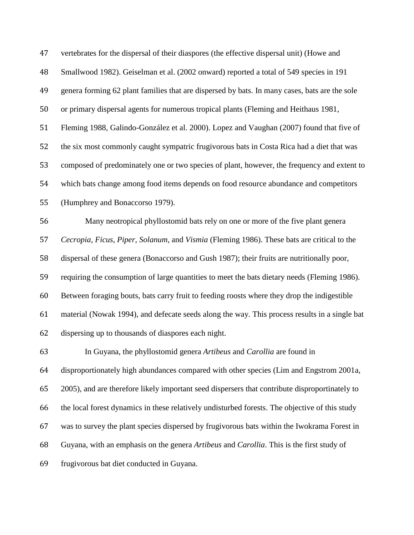| 47 | vertebrates for the dispersal of their diaspores (the effective dispersal unit) (Howe and      |
|----|------------------------------------------------------------------------------------------------|
| 48 | Smallwood 1982). Geiselman et al. (2002 onward) reported a total of 549 species in 191         |
| 49 | genera forming 62 plant families that are dispersed by bats. In many cases, bats are the sole  |
| 50 | or primary dispersal agents for numerous tropical plants (Fleming and Heithaus 1981,           |
| 51 | Fleming 1988, Galindo-González et al. 2000). Lopez and Vaughan (2007) found that five of       |
| 52 | the six most commonly caught sympatric frugivorous bats in Costa Rica had a diet that was      |
| 53 | composed of predominately one or two species of plant, however, the frequency and extent to    |
| 54 | which bats change among food items depends on food resource abundance and competitors          |
| 55 | (Humphrey and Bonaccorso 1979).                                                                |
| 56 | Many neotropical phyllostomid bats rely on one or more of the five plant genera                |
| 57 | Cecropia, Ficus, Piper, Solanum, and Vismia (Fleming 1986). These bats are critical to the     |
| 58 | dispersal of these genera (Bonaccorso and Gush 1987); their fruits are nutritionally poor,     |
| 59 | requiring the consumption of large quantities to meet the bats dietary needs (Fleming 1986).   |
| 60 | Between foraging bouts, bats carry fruit to feeding roosts where they drop the indigestible    |
| 61 | material (Nowak 1994), and defecate seeds along the way. This process results in a single bat  |
| 62 | dispersing up to thousands of diaspores each night.                                            |
| 63 | In Guyana, the phyllostomid genera Artibeus and Carollia are found in                          |
| 64 | disproportionately high abundances compared with other species (Lim and Engstrom 2001a,        |
| 65 | 2005), and are therefore likely important seed dispersers that contribute disproportinately to |
| 66 | the local forest dynamics in these relatively undisturbed forests. The objective of this study |
| 67 | was to survey the plant species dispersed by frugivorous bats within the Iwokrama Forest in    |
| 68 | Guyana, with an emphasis on the genera Artibeus and Carollia. This is the first study of       |
| 69 | frugivorous bat diet conducted in Guyana.                                                      |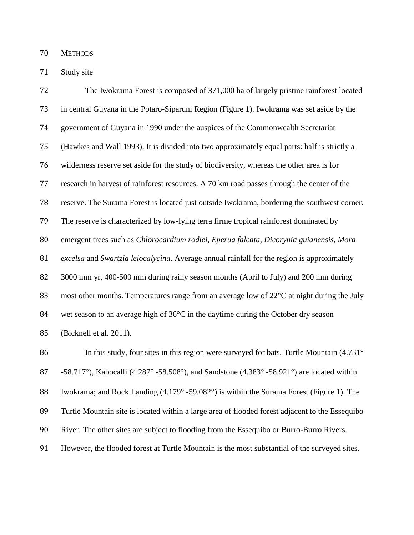METHODS

Study site

 The Iwokrama Forest is composed of 371,000 ha of largely pristine rainforest located in central Guyana in the Potaro-Siparuni Region (Figure 1). Iwokrama was set aside by the government of Guyana in 1990 under the auspices of the Commonwealth Secretariat (Hawkes and Wall 1993). It is divided into two approximately equal parts: half is strictly a wilderness reserve set aside for the study of biodiversity, whereas the other area is for research in harvest of rainforest resources. A 70 km road passes through the center of the reserve. The Surama Forest is located just outside Iwokrama, bordering the southwest corner. The reserve is characterized by low-lying terra firme tropical rainforest dominated by emergent trees such as *Chlorocardium rodiei*, *Eperua falcata*, *Dicorynia guianensis*, *Mora excelsa* and *Swartzia leiocalycina*. Average annual rainfall for the region is approximately 3000 mm yr, 400-500 mm during rainy season months (April to July) and 200 mm during 83 most other months. Temperatures range from an average low of 22<sup>o</sup>C at night during the July 84 wet season to an average high of 36<sup>o</sup>C in the daytime during the October dry season (Bicknell et al. 2011). 86 In this study, four sites in this region were surveyed for bats. Turtle Mountain (4.731°

87 -58.717°), Kabocalli (4.287° -58.508°), and Sandstone (4.383° -58.921°) are located within 88 Iwokrama; and Rock Landing (4.179° -59.082°) is within the Surama Forest (Figure 1). The Turtle Mountain site is located within a large area of flooded forest adjacent to the Essequibo River. The other sites are subject to flooding from the Essequibo or Burro-Burro Rivers. However, the flooded forest at Turtle Mountain is the most substantial of the surveyed sites.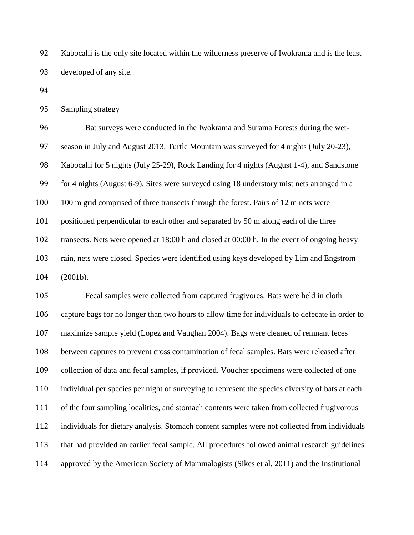Kabocalli is the only site located within the wilderness preserve of Iwokrama and is the least developed of any site.

Sampling strategy

 Bat surveys were conducted in the Iwokrama and Surama Forests during the wet- season in July and August 2013. Turtle Mountain was surveyed for 4 nights (July 20-23), Kabocalli for 5 nights (July 25-29), Rock Landing for 4 nights (August 1-4), and Sandstone for 4 nights (August 6-9). Sites were surveyed using 18 understory mist nets arranged in a 100 100 m grid comprised of three transects through the forest. Pairs of 12 m nets were positioned perpendicular to each other and separated by 50 m along each of the three transects. Nets were opened at 18:00 h and closed at 00:00 h. In the event of ongoing heavy rain, nets were closed. Species were identified using keys developed by Lim and Engstrom (2001b).

 Fecal samples were collected from captured frugivores. Bats were held in cloth capture bags for no longer than two hours to allow time for individuals to defecate in order to maximize sample yield (Lopez and Vaughan 2004). Bags were cleaned of remnant feces between captures to prevent cross contamination of fecal samples. Bats were released after collection of data and fecal samples, if provided. Voucher specimens were collected of one individual per species per night of surveying to represent the species diversity of bats at each of the four sampling localities, and stomach contents were taken from collected frugivorous individuals for dietary analysis. Stomach content samples were not collected from individuals that had provided an earlier fecal sample. All procedures followed animal research guidelines approved by the American Society of Mammalogists (Sikes et al. 2011) and the Institutional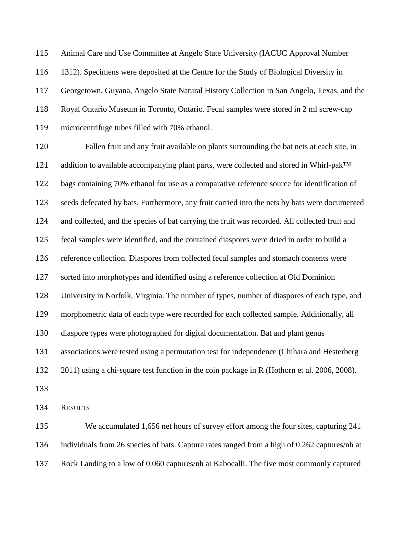Animal Care and Use Committee at Angelo State University (IACUC Approval Number 1312). Specimens were deposited at the Centre for the Study of Biological Diversity in Georgetown, Guyana, Angelo State Natural History Collection in San Angelo, Texas, and the Royal Ontario Museum in Toronto, Ontario. Fecal samples were stored in 2 ml screw-cap microcentrifuge tubes filled with 70% ethanol.

 Fallen fruit and any fruit available on plants surrounding the bat nets at each site, in 121 addition to available accompanying plant parts, were collected and stored in Whirl-pak™ bags containing 70% ethanol for use as a comparative reference source for identification of seeds defecated by bats. Furthermore, any fruit carried into the nets by bats were documented and collected, and the species of bat carrying the fruit was recorded. All collected fruit and fecal samples were identified, and the contained diaspores were dried in order to build a reference collection. Diaspores from collected fecal samples and stomach contents were sorted into morphotypes and identified using a reference collection at Old Dominion University in Norfolk, Virginia. The number of types, number of diaspores of each type, and morphometric data of each type were recorded for each collected sample. Additionally, all diaspore types were photographed for digital documentation. Bat and plant genus associations were tested using a permutation test for independence (Chihara and Hesterberg 2011) using a chi-square test function in the coin package in R (Hothorn et al. 2006, 2008). 

RESULTS

 We accumulated 1,656 net hours of survey effort among the four sites, capturing 241 individuals from 26 species of bats. Capture rates ranged from a high of 0.262 captures/nh at Rock Landing to a low of 0.060 captures/nh at Kabocalli. The five most commonly captured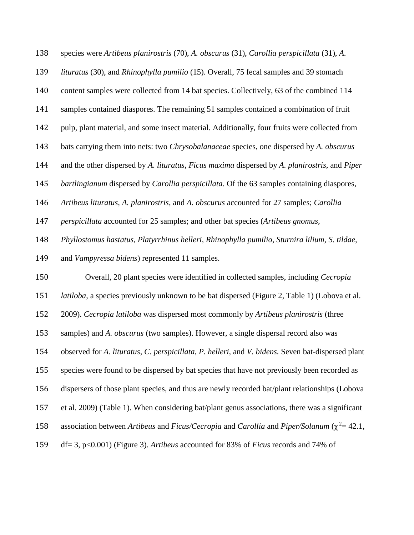species were *Artibeus planirostris* (70), *A. obscurus* (31), *Carollia perspicillata* (31), *A.* 

*lituratus* (30), and *Rhinophylla pumilio* (15). Overall, 75 fecal samples and 39 stomach

content samples were collected from 14 bat species. Collectively, 63 of the combined 114

samples contained diaspores. The remaining 51 samples contained a combination of fruit

pulp, plant material, and some insect material. Additionally, four fruits were collected from

bats carrying them into nets: two *Chrysobalanaceae* species, one dispersed by *A. obscurus* 

and the other dispersed by *A. lituratus*, *Ficus maxima* dispersed by *A. planirostris*, and *Piper* 

*bartlingianum* dispersed by *Carollia perspicillata*. Of the 63 samples containing diaspores,

*Artibeus lituratus, A. planirostris,* and *A. obscurus* accounted for 27 samples; *Carollia* 

*perspicillata* accounted for 25 samples; and other bat species (*Artibeus gnomus,* 

*Phyllostomus hastatus, Platyrrhinus helleri, Rhinophylla pumilio, Sturnira lilium, S. tildae,* 

and *Vampyressa bidens*) represented 11 samples.

Overall, 20 plant species were identified in collected samples, including *Cecropia* 

*latiloba*, a species previously unknown to be bat dispersed (Figure 2, Table 1) (Lobova et al.

2009). *Cecropia latiloba* was dispersed most commonly by *Artibeus planirostris* (three

samples) and *A. obscurus* (two samples). However, a single dispersal record also was

observed for *A. lituratus*, *C. perspicillata, P. helleri*, and *V. bidens.* Seven bat-dispersed plant

species were found to be dispersed by bat species that have not previously been recorded as

dispersers of those plant species, and thus are newly recorded bat/plant relationships (Lobova

et al. 2009) (Table 1). When considering bat/plant genus associations, there was a significant

- 158 association between *Artibeus* and *Ficus/Cecropia* and *Carollia* and *Piper/Solanum* ( $\chi^2$  = 42.1,
- df= 3, p<0.001) (Figure 3). *Artibeus* accounted for 83% of *Ficus* records and 74% of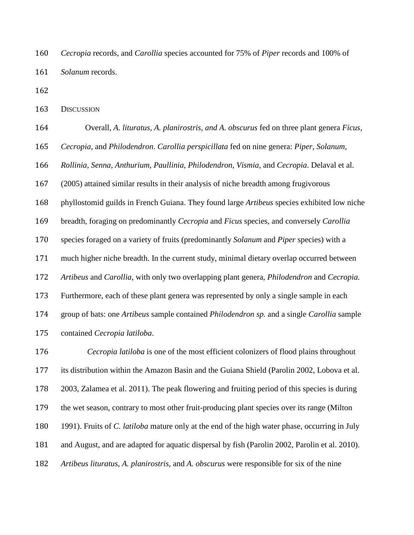*Cecropia* records, and *Carollia* species accounted for 75% of *Piper* records and 100% of *Solanum* records.

DISCUSSION

 Overall, *A. lituratus, A. planirostris, and A. obscurus* fed on three plant genera *Ficus, Cecropia,* and *Philodendron*. *Carollia perspicillata* fed on nine genera: *Piper, Solanum, Rollinia, Senna, Anthurium, Paullinia, Philodendron, Vismia,* and *Cecropia*. Delaval et al. (2005) attained similar results in their analysis of niche breadth among frugivorous phyllostomid guilds in French Guiana. They found large *Artibeus* species exhibited low niche breadth, foraging on predominantly *Cecropia* and *Ficus* species, and conversely *Carollia* species foraged on a variety of fruits (predominantly *Solanum* and *Piper* species) with a much higher niche breadth. In the current study, minimal dietary overlap occurred between *Artibeus* and *Carollia*, with only two overlapping plant genera, *Philodendron* and *Cecropia.* Furthermore, each of these plant genera was represented by only a single sample in each group of bats: one *Artibeus* sample contained *Philodendron sp.* and a single *Carollia* sample contained *Cecropia latiloba*.

 *Cecropia latiloba* is one of the most efficient colonizers of flood plains throughout its distribution within the Amazon Basin and the Guiana Shield (Parolin 2002, Lobova et al. 2003, Zalamea et al. 2011). The peak flowering and fruiting period of this species is during the wet season, contrary to most other fruit-producing plant species over its range (Milton 1991). Fruits of *C. latiloba* mature only at the end of the high water phase, occurring in July and August, and are adapted for aquatic dispersal by fish (Parolin 2002, Parolin et al. 2010). *Artibeus lituratus*, *A. planirostris,* and *A. obscurus* were responsible for six of the nine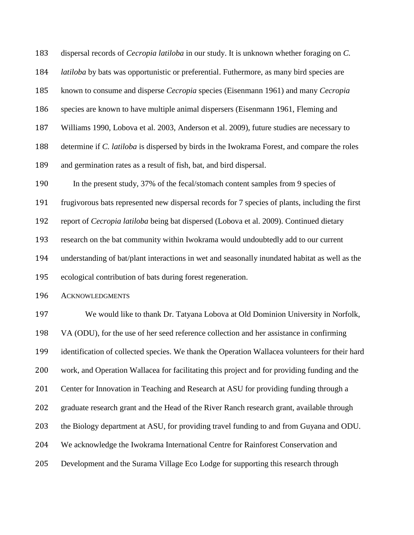dispersal records of *Cecropia latiloba* in our study. It is unknown whether foraging on *C.* 

*latiloba* by bats was opportunistic or preferential. Futhermore, as many bird species are

known to consume and disperse *Cecropia* species (Eisenmann 1961) and many *Cecropia* 

species are known to have multiple animal dispersers (Eisenmann 1961, Fleming and

Williams 1990, Lobova et al. 2003, Anderson et al. 2009), future studies are necessary to

determine if *C. latiloba* is dispersed by birds in the Iwokrama Forest, and compare the roles

and germination rates as a result of fish, bat, and bird dispersal.

In the present study, 37% of the fecal/stomach content samples from 9 species of

frugivorous bats represented new dispersal records for 7 species of plants, including the first

report of *Cecropia latiloba* being bat dispersed (Lobova et al. 2009). Continued dietary

research on the bat community within Iwokrama would undoubtedly add to our current

understanding of bat/plant interactions in wet and seasonally inundated habitat as well as the

ecological contribution of bats during forest regeneration.

ACKNOWLEDGMENTS

 We would like to thank Dr. Tatyana Lobova at Old Dominion University in Norfolk, VA (ODU), for the use of her seed reference collection and her assistance in confirming identification of collected species. We thank the Operation Wallacea volunteers for their hard work, and Operation Wallacea for facilitating this project and for providing funding and the Center for Innovation in Teaching and Research at ASU for providing funding through a graduate research grant and the Head of the River Ranch research grant, available through the Biology department at ASU, for providing travel funding to and from Guyana and ODU. We acknowledge the Iwokrama International Centre for Rainforest Conservation and Development and the Surama Village Eco Lodge for supporting this research through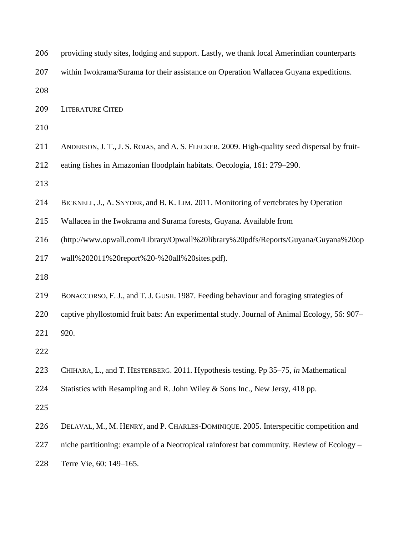| 206 | providing study sites, lodging and support. Lastly, we thank local Amerindian counterparts   |
|-----|----------------------------------------------------------------------------------------------|
| 207 | within Iwokrama/Surama for their assistance on Operation Wallacea Guyana expeditions.        |
| 208 |                                                                                              |
| 209 | <b>LITERATURE CITED</b>                                                                      |
| 210 |                                                                                              |
| 211 | ANDERSON, J. T., J. S. ROJAS, and A. S. FLECKER. 2009. High-quality seed dispersal by fruit- |
| 212 | eating fishes in Amazonian floodplain habitats. Oecologia, 161: 279–290.                     |
| 213 |                                                                                              |
| 214 | BICKNELL, J., A. SNYDER, and B. K. LIM. 2011. Monitoring of vertebrates by Operation         |
| 215 | Wallacea in the Iwokrama and Surama forests, Guyana. Available from                          |
| 216 | (http://www.opwall.com/Library/Opwall%20library%20pdfs/Reports/Guyana/Guyana%20op            |
| 217 | wall%202011%20report%20-%20all%20sites.pdf).                                                 |
| 218 |                                                                                              |
| 219 | BONACCORSO, F. J., and T. J. GUSH. 1987. Feeding behaviour and foraging strategies of        |
| 220 | captive phyllostomid fruit bats: An experimental study. Journal of Animal Ecology, 56: 907-  |
| 221 | 920.                                                                                         |
| 222 |                                                                                              |
| 223 | CHIHARA, L., and T. HESTERBERG. 2011. Hypothesis testing. Pp 35–75, in Mathematical          |
| 224 | Statistics with Resampling and R. John Wiley & Sons Inc., New Jersy, 418 pp.                 |
| 225 |                                                                                              |
| 226 | DELAVAL, M., M. HENRY, and P. CHARLES-DOMINIQUE. 2005. Interspecific competition and         |
| 227 | niche partitioning: example of a Neotropical rainforest bat community. Review of Ecology –   |
| 228 | Terre Vie, 60: 149-165.                                                                      |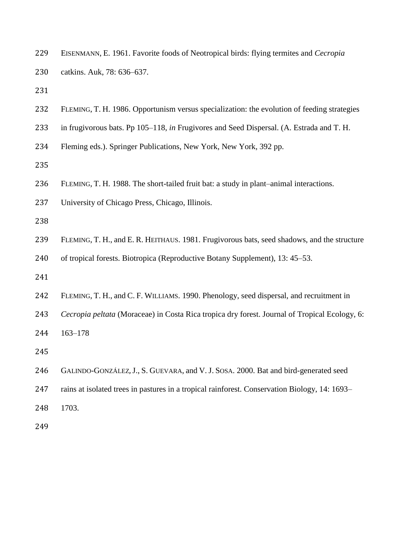| 229 | EISENMANN, E. 1961. Favorite foods of Neotropical birds: flying termites and Cecropia         |
|-----|-----------------------------------------------------------------------------------------------|
| 230 | catkins. Auk, 78: 636-637.                                                                    |
| 231 |                                                                                               |
| 232 | FLEMING, T. H. 1986. Opportunism versus specialization: the evolution of feeding strategies   |
| 233 | in frugivorous bats. Pp 105–118, in Frugivores and Seed Dispersal. (A. Estrada and T. H.      |
| 234 | Fleming eds.). Springer Publications, New York, New York, 392 pp.                             |
| 235 |                                                                                               |
| 236 | FLEMING, T. H. 1988. The short-tailed fruit bat: a study in plant-animal interactions.        |
| 237 | University of Chicago Press, Chicago, Illinois.                                               |
| 238 |                                                                                               |
| 239 | FLEMING, T. H., and E. R. HEITHAUS. 1981. Frugivorous bats, seed shadows, and the structure   |
| 240 | of tropical forests. Biotropica (Reproductive Botany Supplement), 13: 45–53.                  |
| 241 |                                                                                               |
| 242 | FLEMING, T. H., and C. F. WILLIAMS. 1990. Phenology, seed dispersal, and recruitment in       |
| 243 | Cecropia peltata (Moraceae) in Costa Rica tropica dry forest. Journal of Tropical Ecology, 6: |
| 244 | $163 - 178$                                                                                   |
| 245 |                                                                                               |
| 246 | GALINDO-GONZÁLEZ, J., S. GUEVARA, and V. J. SOSA. 2000. Bat and bird-generated seed           |
| 247 | rains at isolated trees in pastures in a tropical rainforest. Conservation Biology, 14: 1693– |
| 248 | 1703.                                                                                         |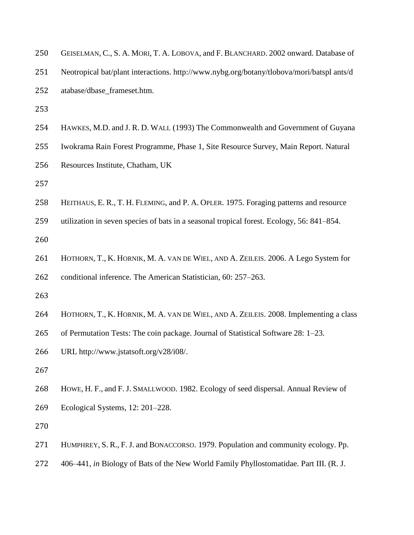| 250 | GEISELMAN, C., S. A. MORI, T. A. LOBOVA, and F. BLANCHARD. 2002 onward. Database of       |
|-----|-------------------------------------------------------------------------------------------|
| 251 | Neotropical bat/plant interactions. http://www.nybg.org/botany/tlobova/mori/batspl ants/d |
| 252 | atabase/dbase_frameset.htm.                                                               |
| 253 |                                                                                           |
| 254 | HAWKES, M.D. and J. R. D. WALL (1993) The Commonwealth and Government of Guyana           |
| 255 | Iwokrama Rain Forest Programme, Phase 1, Site Resource Survey, Main Report. Natural       |
| 256 | Resources Institute, Chatham, UK                                                          |
| 257 |                                                                                           |
| 258 | HEITHAUS, E. R., T. H. FLEMING, and P. A. OPLER. 1975. Foraging patterns and resource     |
| 259 | utilization in seven species of bats in a seasonal tropical forest. Ecology, 56: 841–854. |
| 260 |                                                                                           |
| 261 | HOTHORN, T., K. HORNIK, M. A. VAN DE WIEL, AND A. ZEILEIS. 2006. A Lego System for        |
| 262 | conditional inference. The American Statistician, 60: 257–263.                            |
| 263 |                                                                                           |
| 264 | HOTHORN, T., K. HORNIK, M. A. VAN DE WIEL, AND A. ZEILEIS. 2008. Implementing a class     |
| 265 | of Permutation Tests: The coin package. Journal of Statistical Software 28: 1–23.         |
| 266 | URL http://www.jstatsoft.org/v28/i08/.                                                    |
| 267 |                                                                                           |
| 268 | HOWE, H. F., and F. J. SMALLWOOD. 1982. Ecology of seed dispersal. Annual Review of       |
| 269 | Ecological Systems, 12: 201–228.                                                          |
| 270 |                                                                                           |

- HUMPHREY, S. R., F. J. and BONACCORSO. 1979. Population and community ecology. Pp.
- 406–441, *in* Biology of Bats of the New World Family Phyllostomatidae. Part III. (R. J.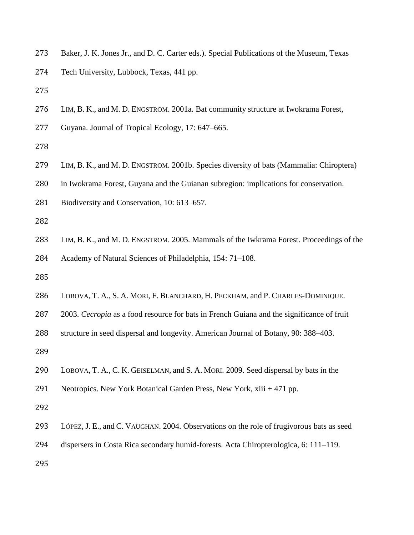- Baker, J. K. Jones Jr., and D. C. Carter eds.). Special Publications of the Museum, Texas
- Tech University, Lubbock, Texas, 441 pp.
- 
- LIM, B. K., and M. D. ENGSTROM. 2001a. Bat community structure at Iwokrama Forest,
- Guyana. Journal of Tropical Ecology, 17: 647–665.
- 
- LIM, B. K., and M. D. ENGSTROM. 2001b. Species diversity of bats (Mammalia: Chiroptera)
- in Iwokrama Forest, Guyana and the Guianan subregion: implications for conservation.
- Biodiversity and Conservation, 10: 613–657.
- 
- LIM, B. K., and M. D. ENGSTROM. 2005. Mammals of the Iwkrama Forest. Proceedings of the Academy of Natural Sciences of Philadelphia, 154: 71–108.
- 
- LOBOVA, T. A., S. A. MORI, F. BLANCHARD, H. PECKHAM, and P. CHARLES-DOMINIQUE.
- 2003. *Cecropia* as a food resource for bats in French Guiana and the significance of fruit
- structure in seed dispersal and longevity. American Journal of Botany, 90: 388–403.
- 
- LOBOVA, T. A., C. K. GEISELMAN, and S. A. MORI. 2009. Seed dispersal by bats in the
- Neotropics. New York Botanical Garden Press, New York, xiii + 471 pp.
- 
- LÓPEZ, J. E., and C. VAUGHAN. 2004. Observations on the role of frugivorous bats as seed
- dispersers in Costa Rica secondary humid-forests. Acta Chiropterologica, 6: 111–119.
-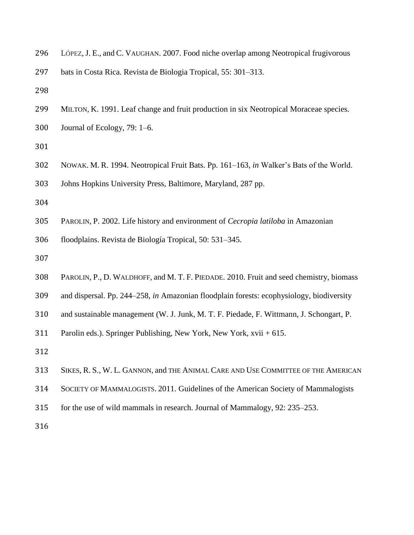| 296 LÓPEZ, J. E., and C. VAUGHAN. 2007. Food niche overlap among Neotropical frugivorous |  |  |
|------------------------------------------------------------------------------------------|--|--|
|                                                                                          |  |  |

- bats in Costa Rica. Revista de Biologia Tropical, 55: 301–313.
- 
- MILTON, K. 1991. Leaf change and fruit production in six Neotropical Moraceae species.
- Journal of Ecology, 79: 1–6.
- 
- NOWAK. M. R. 1994. Neotropical Fruit Bats. Pp. 161–163, *in* Walker's Bats of the World.
- Johns Hopkins University Press, Baltimore, Maryland, 287 pp.
- 
- PAROLIN, P. 2002. Life history and environment of *Cecropia latiloba* in Amazonian
- floodplains. Revista de Biología Tropical, 50: 531–345.
- 
- PAROLIN, P., D. WALDHOFF, and M. T. F. PIEDADE. 2010. Fruit and seed chemistry, biomass
- and dispersal. Pp. 244–258, *in* Amazonian floodplain forests: ecophysiology, biodiversity
- and sustainable management (W. J. Junk, M. T. F. Piedade, F. Wittmann, J. Schongart, P.
- Parolin eds.). Springer Publishing, New York, New York, xvii + 615.
- 
- SIKES, R. S., W. L. GANNON, and THE ANIMAL CARE AND USE COMMITTEE OF THE AMERICAN
- SOCIETY OF MAMMALOGISTS. 2011. Guidelines of the American Society of Mammalogists
- for the use of wild mammals in research. Journal of Mammalogy, 92: 235–253.
-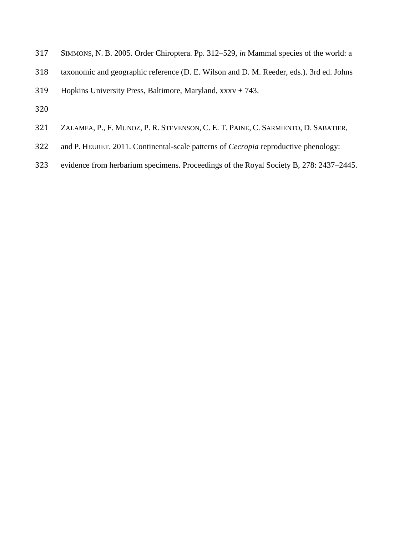- SIMMONS, N. B. 2005. Order Chiroptera. Pp. 312–529, *in* Mammal species of the world: a
- taxonomic and geographic reference (D. E. Wilson and D. M. Reeder, eds.). 3rd ed. Johns
- Hopkins University Press, Baltimore, Maryland, xxxv + 743.
- 
- ZALAMEA, P., F. MUNOZ, P. R. STEVENSON, C. E. T. PAINE, C. SARMIENTO, D. SABATIER,
- and P. HEURET. 2011. Continental-scale patterns of *Cecropia* reproductive phenology:
- evidence from herbarium specimens. Proceedings of the Royal Society B, 278: 2437–2445.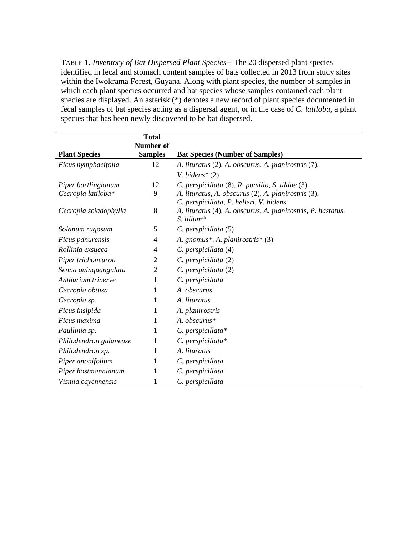TABLE 1. *Inventory of Bat Dispersed Plant Species--* The 20 dispersed plant species identified in fecal and stomach content samples of bats collected in 2013 from study sites within the Iwokrama Forest, Guyana. Along with plant species, the number of samples in which each plant species occurred and bat species whose samples contained each plant species are displayed. An asterisk (\*) denotes a new record of plant species documented in fecal samples of bat species acting as a dispersal agent, or in the case of *C. latiloba,* a plant species that has been newly discovered to be bat dispersed.

|                        | <b>Total</b>     |                                                                                                |
|------------------------|------------------|------------------------------------------------------------------------------------------------|
|                        | <b>Number of</b> |                                                                                                |
| <b>Plant Species</b>   | <b>Samples</b>   | <b>Bat Species (Number of Samples)</b>                                                         |
| Ficus nymphaeifolia    | 12               | A. lituratus (2), A. obscurus, A. planirostris (7),                                            |
|                        |                  | V. bidens $*(2)$                                                                               |
| Piper bartlingianum    | 12               | C. perspicillata (8), R. pumilio, S. tildae (3)                                                |
| Cecropia latiloba*     | 9                | A. lituratus, A. obscurus (2), A. planirostris (3),<br>C. perspicillata, P. helleri, V. bidens |
| Cecropia sciadophylla  | 8                | A. lituratus (4), A. obscurus, A. planirostris, P. hastatus,<br>$S.$ lilium*                   |
| Solanum rugosum        | 5                | C. perspicillata (5)                                                                           |
| Ficus panurensis       | 4                | A. gnomus*, A. planirostris* $(3)$                                                             |
| Rollinia exsucca       | $\overline{4}$   | C. perspicillata (4)                                                                           |
| Piper trichoneuron     | $\overline{c}$   | C. perspicillata (2)                                                                           |
| Senna quinquangulata   | $\overline{2}$   | C. perspicillata (2)                                                                           |
| Anthurium trinerve     | 1                | C. perspicillata                                                                               |
| Cecropia obtusa        | 1                | A. obscurus                                                                                    |
| Cecropia sp.           | 1                | A. lituratus                                                                                   |
| Ficus insipida         | 1                | A. planirostris                                                                                |
| Ficus maxima           | 1                | A. obscurus*                                                                                   |
| Paullinia sp.          | 1                | $C.$ perspicillata*                                                                            |
| Philodendron guianense | 1                | C. perspicillata*                                                                              |
| Philodendron sp.       | 1                | A. lituratus                                                                                   |
| Piper anonifolium      | 1                | C. perspicillata                                                                               |
| Piper hostmannianum    | 1                | C. perspicillata                                                                               |
| Vismia cayennensis     | 1                | C. perspicillata                                                                               |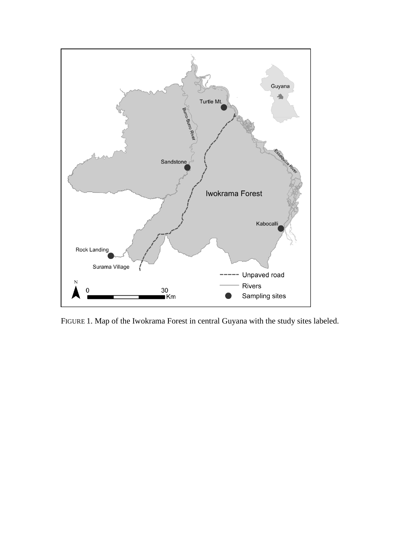

FIGURE 1. Map of the Iwokrama Forest in central Guyana with the study sites labeled.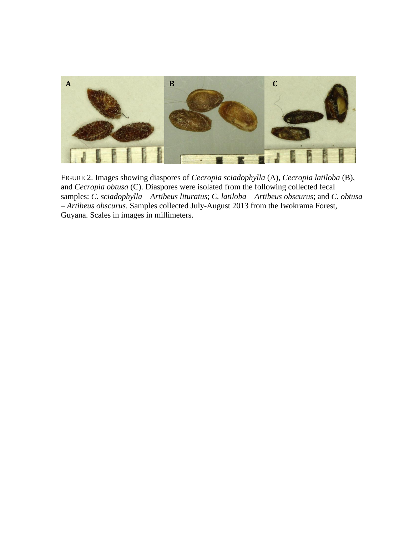

FIGURE 2. Images showing diaspores of *Cecropia sciadophylla* (A), *Cecropia latiloba* (B), and *Cecropia obtusa* (C). Diaspores were isolated from the following collected fecal samples: *C. sciadophylla* – *Artibeus lituratus*; *C. latiloba* – *Artibeus obscurus*; and *C. obtusa – Artibeus obscurus*. Samples collected July-August 2013 from the Iwokrama Forest, Guyana. Scales in images in millimeters.